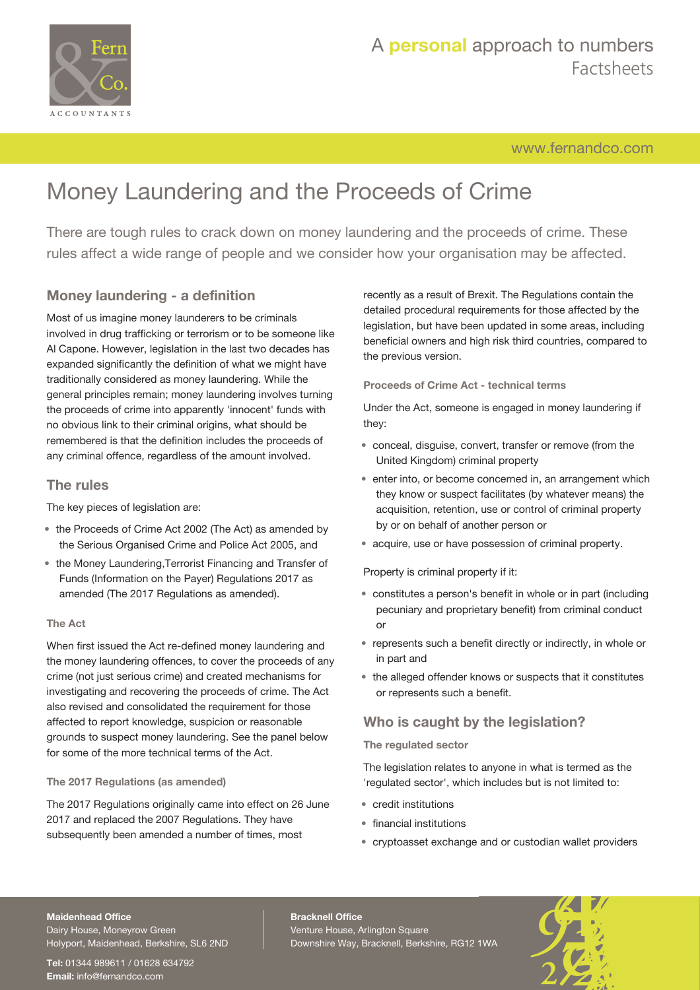

[www.fernandco.com](http://www.fernandco.com)

# Money Laundering and the Proceeds of Crime

There are tough rules to crack down on money laundering and the proceeds of crime. These rules affect a wide range of people and we consider how your organisation may be affected.

### **Money laundering - a definition**

Most of us imagine money launderers to be criminals involved in drug trafficking or terrorism or to be someone like Al Capone. However, legislation in the last two decades has expanded significantly the definition of what we might have traditionally considered as money laundering. While the general principles remain; money laundering involves turning the proceeds of crime into apparently 'innocent' funds with no obvious link to their criminal origins, what should be remembered is that the definition includes the proceeds of any criminal offence, regardless of the amount involved.

#### **The rules**

The key pieces of legislation are:

- the Proceeds of Crime Act 2002 (The Act) as amended by the Serious Organised Crime and Police Act 2005, and
- the Money Laundering,Terrorist Financing and Transfer of Funds (Information on the Payer) Regulations 2017 as amended (The 2017 Regulations as amended).

#### **The Act**

When first issued the Act re-defined money laundering and the money laundering offences, to cover the proceeds of any crime (not just serious crime) and created mechanisms for investigating and recovering the proceeds of crime. The Act also revised and consolidated the requirement for those affected to report knowledge, suspicion or reasonable grounds to suspect money laundering. See the panel below for some of the more technical terms of the Act.

#### **The 2017 Regulations (as amended)**

The 2017 Regulations originally came into effect on 26 June 2017 and replaced the 2007 Regulations. They have subsequently been amended a number of times, most

recently as a result of Brexit. The Regulations contain the detailed procedural requirements for those affected by the legislation, but have been updated in some areas, including beneficial owners and high risk third countries, compared to the previous version.

**Proceeds of Crime Act - technical terms**

Under the Act, someone is engaged in money laundering if they:

- conceal, disguise, convert, transfer or remove (from the United Kingdom) criminal property
- enter into, or become concerned in, an arrangement which they know or suspect facilitates (by whatever means) the acquisition, retention, use or control of criminal property by or on behalf of another person or
- acquire, use or have possession of criminal property.

Property is criminal property if it:

- constitutes a person's benefit in whole or in part (including pecuniary and proprietary benefit) from criminal conduct or
- represents such a benefit directly or indirectly, in whole or in part and
- the alleged offender knows or suspects that it constitutes or represents such a benefit.

### **Who is caught by the legislation?**

**The regulated sector**

The legislation relates to anyone in what is termed as the 'regulated sector', which includes but is not limited to:

- credit institutions
- financial institutions
- cryptoasset exchange and or custodian wallet providers

#### **Maidenhead Office**

Dairy House, Moneyrow Green Holyport, Maidenhead, Berkshire, SL6 2ND

**Tel:** 01344 989611 / 01628 634792 **Email:** [info@fernandco.com](mailto:info@fernandco.com)

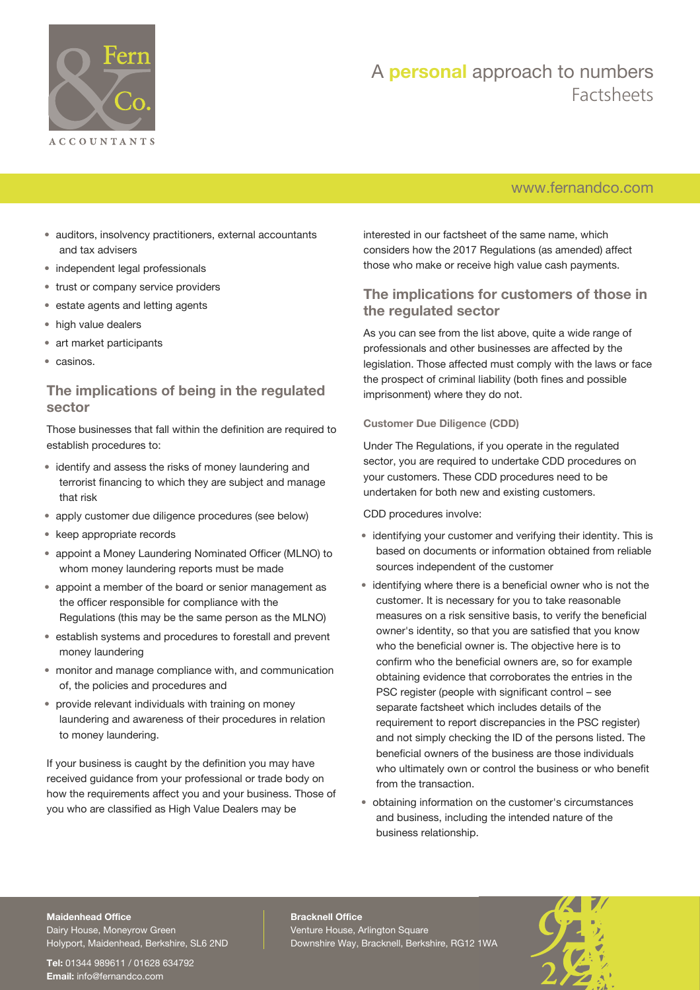

### [www.fernandco.com](http://www.fernandco.com)

- auditors, insolvency practitioners, external accountants and tax advisers
- independent legal professionals
- trust or company service providers
- estate agents and letting agents
- high value dealers
- art market participants
- casinos.

#### **The implications of being in the regulated sector**

Those businesses that fall within the definition are required to establish procedures to:

- identify and assess the risks of money laundering and terrorist financing to which they are subject and manage that risk
- apply customer due diligence procedures (see below)
- keep appropriate records
- appoint a Money Laundering Nominated Officer (MLNO) to whom money laundering reports must be made
- appoint a member of the board or senior management as the officer responsible for compliance with the Regulations (this may be the same person as the MLNO)
- establish systems and procedures to forestall and prevent money laundering
- monitor and manage compliance with, and communication of, the policies and procedures and
- provide relevant individuals with training on money laundering and awareness of their procedures in relation to money laundering.

If your business is caught by the definition you may have received guidance from your professional or trade body on how the requirements affect you and your business. Those of you who are classified as High Value Dealers may be

interested in our factsheet of the same name, which considers how the 2017 Regulations (as amended) affect those who make or receive high value cash payments.

### **The implications for customers of those in the regulated sector**

As you can see from the list above, quite a wide range of professionals and other businesses are affected by the legislation. Those affected must comply with the laws or face the prospect of criminal liability (both fines and possible imprisonment) where they do not.

#### **Customer Due Diligence (CDD)**

Under The Regulations, if you operate in the regulated sector, you are required to undertake CDD procedures on your customers. These CDD procedures need to be undertaken for both new and existing customers.

CDD procedures involve:

- identifying your customer and verifying their identity. This is based on documents or information obtained from reliable sources independent of the customer
- identifying where there is a beneficial owner who is not the customer. It is necessary for you to take reasonable measures on a risk sensitive basis, to verify the beneficial owner's identity, so that you are satisfied that you know who the beneficial owner is. The objective here is to confirm who the beneficial owners are, so for example obtaining evidence that corroborates the entries in the PSC register (people with significant control – see separate factsheet which includes details of the requirement to report discrepancies in the PSC register) and not simply checking the ID of the persons listed. The beneficial owners of the business are those individuals who ultimately own or control the business or who benefit from the transaction.
- obtaining information on the customer's circumstances and business, including the intended nature of the business relationship.

#### **Maidenhead Office**

Dairy House, Moneyrow Green Holyport, Maidenhead, Berkshire, SL6 2ND

**Tel:** 01344 989611 / 01628 634792 **Email:** [info@fernandco.com](mailto:info@fernandco.com)

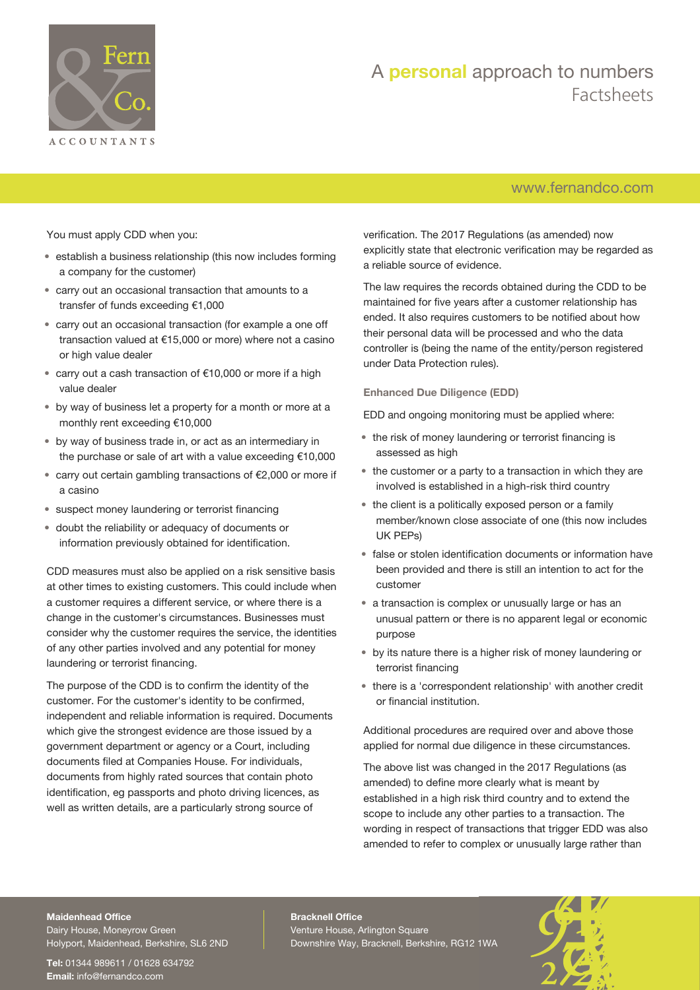

### [www.fernandco.com](http://www.fernandco.com)

You must apply CDD when you:

- establish a business relationship (this now includes forming a company for the customer)
- carry out an occasional transaction that amounts to a transfer of funds exceeding €1,000
- carry out an occasional transaction (for example a one off transaction valued at €15,000 or more) where not a casino or high value dealer
- carry out a cash transaction of €10,000 or more if a high value dealer
- by way of business let a property for a month or more at a monthly rent exceeding €10,000
- by way of business trade in, or act as an intermediary in the purchase or sale of art with a value exceeding €10,000
- carry out certain gambling transactions of €2,000 or more if a casino
- suspect money laundering or terrorist financing
- doubt the reliability or adequacy of documents or information previously obtained for identification.

CDD measures must also be applied on a risk sensitive basis at other times to existing customers. This could include when a customer requires a different service, or where there is a change in the customer's circumstances. Businesses must consider why the customer requires the service, the identities of any other parties involved and any potential for money laundering or terrorist financing.

The purpose of the CDD is to confirm the identity of the customer. For the customer's identity to be confirmed, independent and reliable information is required. Documents which give the strongest evidence are those issued by a government department or agency or a Court, including documents filed at Companies House. For individuals, documents from highly rated sources that contain photo identification, eg passports and photo driving licences, as well as written details, are a particularly strong source of

verification. The 2017 Regulations (as amended) now explicitly state that electronic verification may be regarded as a reliable source of evidence.

The law requires the records obtained during the CDD to be maintained for five years after a customer relationship has ended. It also requires customers to be notified about how their personal data will be processed and who the data controller is (being the name of the entity/person registered under Data Protection rules).

#### **Enhanced Due Diligence (EDD)**

EDD and ongoing monitoring must be applied where:

- the risk of money laundering or terrorist financing is assessed as high
- the customer or a party to a transaction in which they are involved is established in a high-risk third country
- the client is a politically exposed person or a family member/known close associate of one (this now includes UK PEPs)
- false or stolen identification documents or information have been provided and there is still an intention to act for the customer
- a transaction is complex or unusually large or has an unusual pattern or there is no apparent legal or economic purpose
- by its nature there is a higher risk of money laundering or terrorist financing
- there is a 'correspondent relationship' with another credit or financial institution.

Additional procedures are required over and above those applied for normal due diligence in these circumstances.

The above list was changed in the 2017 Regulations (as amended) to define more clearly what is meant by established in a high risk third country and to extend the scope to include any other parties to a transaction. The wording in respect of transactions that trigger EDD was also amended to refer to complex or unusually large rather than

#### **Maidenhead Office**

Dairy House, Moneyrow Green Holyport, Maidenhead, Berkshire, SL6 2ND

**Tel:** 01344 989611 / 01628 634792 **Email:** [info@fernandco.com](mailto:info@fernandco.com)

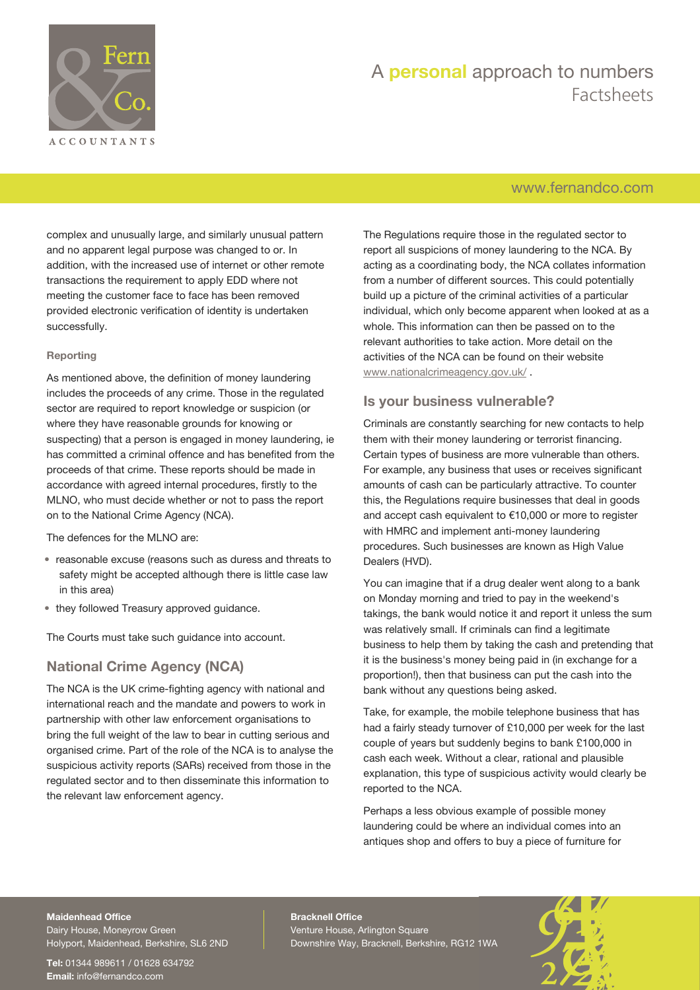

### [www.fernandco.com](http://www.fernandco.com)

complex and unusually large, and similarly unusual pattern and no apparent legal purpose was changed to or. In addition, with the increased use of internet or other remote transactions the requirement to apply EDD where not meeting the customer face to face has been removed provided electronic verification of identity is undertaken successfully.

#### **Reporting**

As mentioned above, the definition of money laundering includes the proceeds of any crime. Those in the regulated sector are required to report knowledge or suspicion (or where they have reasonable grounds for knowing or suspecting) that a person is engaged in money laundering, ie has committed a criminal offence and has benefited from the proceeds of that crime. These reports should be made in accordance with agreed internal procedures, firstly to the MLNO, who must decide whether or not to pass the report on to the National Crime Agency (NCA).

The defences for the MLNO are:

- reasonable excuse (reasons such as duress and threats to safety might be accepted although there is little case law in this area)
- they followed Treasury approved guidance.

The Courts must take such guidance into account.

### **National Crime Agency (NCA)**

The NCA is the UK crime-fighting agency with national and international reach and the mandate and powers to work in partnership with other law enforcement organisations to bring the full weight of the law to bear in cutting serious and organised crime. Part of the role of the NCA is to analyse the suspicious activity reports (SARs) received from those in the regulated sector and to then disseminate this information to the relevant law enforcement agency.

The Regulations require those in the regulated sector to report all suspicions of money laundering to the NCA. By acting as a coordinating body, the NCA collates information from a number of different sources. This could potentially build up a picture of the criminal activities of a particular individual, which only become apparent when looked at as a whole. This information can then be passed on to the relevant authorities to take action. More detail on the activities of the NCA can be found on their website [www.nationalcrimeagency.gov.uk/](http://www.nationalcrimeagency.gov.uk/) .

#### **Is your business vulnerable?**

Criminals are constantly searching for new contacts to help them with their money laundering or terrorist financing. Certain types of business are more vulnerable than others. For example, any business that uses or receives significant amounts of cash can be particularly attractive. To counter this, the Regulations require businesses that deal in goods and accept cash equivalent to €10,000 or more to register with HMRC and implement anti-money laundering procedures. Such businesses are known as High Value Dealers (HVD).

You can imagine that if a drug dealer went along to a bank on Monday morning and tried to pay in the weekend's takings, the bank would notice it and report it unless the sum was relatively small. If criminals can find a legitimate business to help them by taking the cash and pretending that it is the business's money being paid in (in exchange for a proportion!), then that business can put the cash into the bank without any questions being asked.

Take, for example, the mobile telephone business that has had a fairly steady turnover of £10,000 per week for the last couple of years but suddenly begins to bank £100,000 in cash each week. Without a clear, rational and plausible explanation, this type of suspicious activity would clearly be reported to the NCA.

Perhaps a less obvious example of possible money laundering could be where an individual comes into an antiques shop and offers to buy a piece of furniture for

#### **Maidenhead Office**

Dairy House, Moneyrow Green Holyport, Maidenhead, Berkshire, SL6 2ND

**Tel:** 01344 989611 / 01628 634792 **Email:** [info@fernandco.com](mailto:info@fernandco.com)